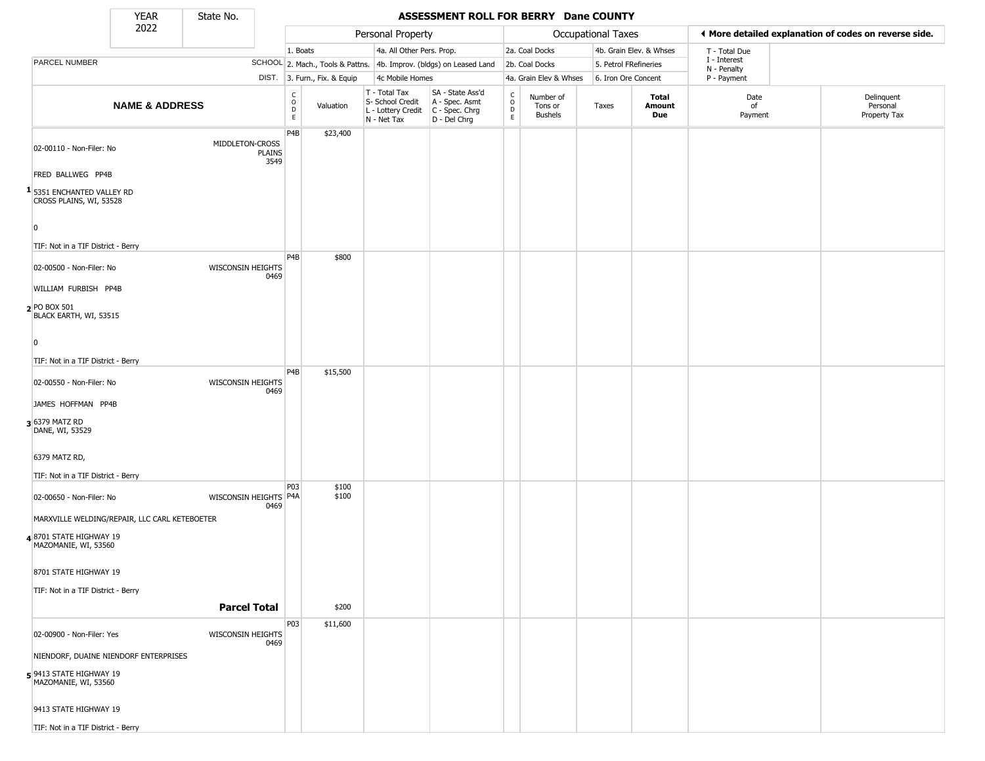State No.

г

#### YEAR **ASSESSMENT ROLL FOR BERRY Dane COUNTY**

|                                                                  | 2022                                          |                                   |                                                          | Personal Property            |                                                                        |                                                                        | <b>Occupational Taxes</b>                                          |                                        |                       |                         | ◀ More detailed explanation of codes on reverse side. |                                        |  |
|------------------------------------------------------------------|-----------------------------------------------|-----------------------------------|----------------------------------------------------------|------------------------------|------------------------------------------------------------------------|------------------------------------------------------------------------|--------------------------------------------------------------------|----------------------------------------|-----------------------|-------------------------|-------------------------------------------------------|----------------------------------------|--|
|                                                                  |                                               |                                   | 1. Boats                                                 |                              | 4a. All Other Pers. Prop.                                              |                                                                        |                                                                    | 2a. Coal Docks                         |                       | 4b. Grain Elev. & Whses | T - Total Due                                         |                                        |  |
| PARCEL NUMBER                                                    |                                               |                                   |                                                          |                              |                                                                        | SCHOOL 2. Mach., Tools & Pattns. 4b. Improv. (bldgs) on Leased Land    |                                                                    | 2b. Coal Docks                         | 5. Petrol FRefineries |                         | I - Interest<br>N - Penalty                           |                                        |  |
|                                                                  |                                               |                                   |                                                          | DIST. 3. Furn., Fix. & Equip | 4c Mobile Homes                                                        |                                                                        |                                                                    | 4a. Grain Elev & Whses                 | 6. Iron Ore Concent   |                         | P - Payment                                           |                                        |  |
|                                                                  | <b>NAME &amp; ADDRESS</b>                     |                                   | $\begin{matrix} 0 \\ 0 \\ 0 \end{matrix}$<br>$\mathsf E$ | Valuation                    | T - Total Tax<br>S- School Credit<br>L - Lottery Credit<br>N - Net Tax | SA - State Ass'd<br>A - Spec. Asmt<br>$C - Spec. Chrg$<br>D - Del Chrg | $\begin{smallmatrix} C \\ 0 \\ D \end{smallmatrix}$<br>$\mathsf E$ | Number of<br>Tons or<br><b>Bushels</b> | Taxes                 | Total<br>Amount<br>Due  | Date<br>of<br>Payment                                 | Delinquent<br>Personal<br>Property Tax |  |
| 02-00110 - Non-Filer: No                                         |                                               | MIDDLETON-CROSS<br>PLAINS<br>3549 | P4B                                                      | \$23,400                     |                                                                        |                                                                        |                                                                    |                                        |                       |                         |                                                       |                                        |  |
| FRED BALLWEG PP4B                                                |                                               |                                   |                                                          |                              |                                                                        |                                                                        |                                                                    |                                        |                       |                         |                                                       |                                        |  |
| <sup>1</sup> 5351 ENCHANTED VALLEY RD<br>CROSS PLAINS, WI, 53528 |                                               |                                   |                                                          |                              |                                                                        |                                                                        |                                                                    |                                        |                       |                         |                                                       |                                        |  |
| $\overline{0}$<br>TIF: Not in a TIF District - Berry             |                                               |                                   |                                                          |                              |                                                                        |                                                                        |                                                                    |                                        |                       |                         |                                                       |                                        |  |
| 02-00500 - Non-Filer: No                                         |                                               | <b>WISCONSIN HEIGHTS</b><br>0469  | P <sub>4</sub> B                                         | \$800                        |                                                                        |                                                                        |                                                                    |                                        |                       |                         |                                                       |                                        |  |
| WILLIAM FURBISH PP4B                                             |                                               |                                   |                                                          |                              |                                                                        |                                                                        |                                                                    |                                        |                       |                         |                                                       |                                        |  |
| $2$ PO BOX 501<br>BLACK EARTH, WI, 53515                         |                                               |                                   |                                                          |                              |                                                                        |                                                                        |                                                                    |                                        |                       |                         |                                                       |                                        |  |
| $\overline{\mathbf{0}}$                                          |                                               |                                   |                                                          |                              |                                                                        |                                                                        |                                                                    |                                        |                       |                         |                                                       |                                        |  |
| TIF: Not in a TIF District - Berry                               |                                               |                                   |                                                          |                              |                                                                        |                                                                        |                                                                    |                                        |                       |                         |                                                       |                                        |  |
| 02-00550 - Non-Filer: No                                         |                                               | <b>WISCONSIN HEIGHTS</b><br>0469  | P <sub>4</sub> B                                         | \$15,500                     |                                                                        |                                                                        |                                                                    |                                        |                       |                         |                                                       |                                        |  |
| JAMES HOFFMAN PP4B                                               |                                               |                                   |                                                          |                              |                                                                        |                                                                        |                                                                    |                                        |                       |                         |                                                       |                                        |  |
| 3 6379 MATZ RD<br>DANE, WI, 53529                                |                                               |                                   |                                                          |                              |                                                                        |                                                                        |                                                                    |                                        |                       |                         |                                                       |                                        |  |
| 6379 MATZ RD,                                                    |                                               |                                   |                                                          |                              |                                                                        |                                                                        |                                                                    |                                        |                       |                         |                                                       |                                        |  |
| TIF: Not in a TIF District - Berry                               |                                               |                                   |                                                          |                              |                                                                        |                                                                        |                                                                    |                                        |                       |                         |                                                       |                                        |  |
| 02-00650 - Non-Filer: No                                         |                                               | WISCONSIN HEIGHTS P4A<br>0469     | P03                                                      | \$100<br>\$100               |                                                                        |                                                                        |                                                                    |                                        |                       |                         |                                                       |                                        |  |
|                                                                  | MARXVILLE WELDING/REPAIR, LLC CARL KETEBOETER |                                   |                                                          |                              |                                                                        |                                                                        |                                                                    |                                        |                       |                         |                                                       |                                        |  |
| 48701 STATE HIGHWAY 19<br>MAZOMANIE, WI, 53560                   |                                               |                                   |                                                          |                              |                                                                        |                                                                        |                                                                    |                                        |                       |                         |                                                       |                                        |  |
| 8701 STATE HIGHWAY 19                                            |                                               |                                   |                                                          |                              |                                                                        |                                                                        |                                                                    |                                        |                       |                         |                                                       |                                        |  |
| TIF: Not in a TIF District - Berry                               |                                               | <b>Parcel Total</b>               |                                                          | \$200                        |                                                                        |                                                                        |                                                                    |                                        |                       |                         |                                                       |                                        |  |
|                                                                  |                                               |                                   |                                                          |                              |                                                                        |                                                                        |                                                                    |                                        |                       |                         |                                                       |                                        |  |
| 02-00900 - Non-Filer: Yes                                        |                                               | <b>WISCONSIN HEIGHTS</b><br>0469  | P03                                                      | \$11,600                     |                                                                        |                                                                        |                                                                    |                                        |                       |                         |                                                       |                                        |  |
|                                                                  | NIENDORF, DUAINE NIENDORF ENTERPRISES         |                                   |                                                          |                              |                                                                        |                                                                        |                                                                    |                                        |                       |                         |                                                       |                                        |  |
| 5 9413 STATE HIGHWAY 19<br>MAZOMANIE, WI, 53560                  |                                               |                                   |                                                          |                              |                                                                        |                                                                        |                                                                    |                                        |                       |                         |                                                       |                                        |  |
| 9413 STATE HIGHWAY 19                                            |                                               |                                   |                                                          |                              |                                                                        |                                                                        |                                                                    |                                        |                       |                         |                                                       |                                        |  |
| TIF: Not in a TIF District - Berry                               |                                               |                                   |                                                          |                              |                                                                        |                                                                        |                                                                    |                                        |                       |                         |                                                       |                                        |  |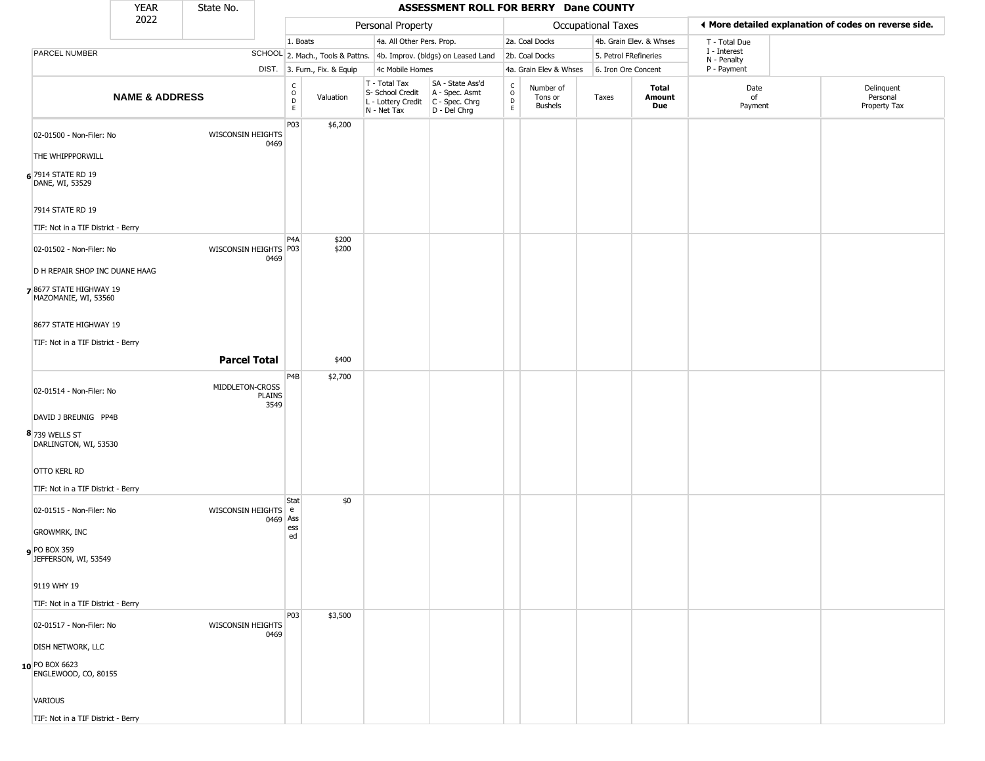|                                                | <b>YEAR</b>                    | State No.                |                       | ASSESSMENT ROLL FOR BERRY Dane COUNTY           |                              |  |                                                                        |                                                                      |                                            |                                        |                                                       |                         |                             |  |                                        |
|------------------------------------------------|--------------------------------|--------------------------|-----------------------|-------------------------------------------------|------------------------------|--|------------------------------------------------------------------------|----------------------------------------------------------------------|--------------------------------------------|----------------------------------------|-------------------------------------------------------|-------------------------|-----------------------------|--|----------------------------------------|
|                                                | 2022                           |                          |                       | Personal Property                               |                              |  |                                                                        | Occupational Taxes                                                   |                                            |                                        | ♦ More detailed explanation of codes on reverse side. |                         |                             |  |                                        |
|                                                |                                |                          |                       | 1. Boats                                        |                              |  | 4a. All Other Pers. Prop.                                              |                                                                      |                                            | 2a. Coal Docks                         |                                                       | 4b. Grain Elev. & Whses | T - Total Due               |  |                                        |
| PARCEL NUMBER                                  |                                |                          |                       |                                                 |                              |  |                                                                        | SCHOOL 2. Mach., Tools & Pattns. 4b. Improv. (bldgs) on Leased Land  |                                            | 2b. Coal Docks                         |                                                       | 5. Petrol FRefineries   | I - Interest<br>N - Penalty |  |                                        |
|                                                |                                |                          |                       |                                                 | DIST. 3. Furn., Fix. & Equip |  | 4c Mobile Homes                                                        |                                                                      |                                            | 4a. Grain Elev & Whses                 |                                                       | 6. Iron Ore Concent     | P - Payment                 |  |                                        |
|                                                | <b>NAME &amp; ADDRESS</b>      |                          |                       | $\begin{array}{c} C \\ O \\ D \\ E \end{array}$ | Valuation                    |  | T - Total Tax<br>S- School Credit<br>L - Lottery Credit<br>N - Net Tax | SA - State Ass'd<br>A - Spec. Asmt<br>C - Spec. Chrg<br>D - Del Chrg | $\begin{array}{c} C \\ O \\ E \end{array}$ | Number of<br>Tons or<br><b>Bushels</b> | Taxes                                                 | Total<br>Amount<br>Due  | Date<br>of<br>Payment       |  | Delinquent<br>Personal<br>Property Tax |
| 02-01500 - Non-Filer: No                       |                                | WISCONSIN HEIGHTS        | 0469                  | P03                                             | \$6,200                      |  |                                                                        |                                                                      |                                            |                                        |                                                       |                         |                             |  |                                        |
| THE WHIPPPORWILL                               |                                |                          |                       |                                                 |                              |  |                                                                        |                                                                      |                                            |                                        |                                                       |                         |                             |  |                                        |
| 6 7914 STATE RD 19<br>DANE, WI, 53529          |                                |                          |                       |                                                 |                              |  |                                                                        |                                                                      |                                            |                                        |                                                       |                         |                             |  |                                        |
| 7914 STATE RD 19                               |                                |                          |                       |                                                 |                              |  |                                                                        |                                                                      |                                            |                                        |                                                       |                         |                             |  |                                        |
| TIF: Not in a TIF District - Berry             |                                |                          |                       |                                                 |                              |  |                                                                        |                                                                      |                                            |                                        |                                                       |                         |                             |  |                                        |
| 02-01502 - Non-Filer: No                       |                                | WISCONSIN HEIGHTS P03    | 0469                  | P <sub>4</sub> A                                | \$200<br>\$200               |  |                                                                        |                                                                      |                                            |                                        |                                                       |                         |                             |  |                                        |
|                                                | D H REPAIR SHOP INC DUANE HAAG |                          |                       |                                                 |                              |  |                                                                        |                                                                      |                                            |                                        |                                                       |                         |                             |  |                                        |
| 78677 STATE HIGHWAY 19<br>MAZOMANIE, WI, 53560 |                                |                          |                       |                                                 |                              |  |                                                                        |                                                                      |                                            |                                        |                                                       |                         |                             |  |                                        |
| 8677 STATE HIGHWAY 19                          |                                |                          |                       |                                                 |                              |  |                                                                        |                                                                      |                                            |                                        |                                                       |                         |                             |  |                                        |
| TIF: Not in a TIF District - Berry             |                                |                          |                       |                                                 |                              |  |                                                                        |                                                                      |                                            |                                        |                                                       |                         |                             |  |                                        |
|                                                |                                | <b>Parcel Total</b>      |                       |                                                 | \$400                        |  |                                                                        |                                                                      |                                            |                                        |                                                       |                         |                             |  |                                        |
|                                                |                                |                          |                       | P4B                                             | \$2,700                      |  |                                                                        |                                                                      |                                            |                                        |                                                       |                         |                             |  |                                        |
| 02-01514 - Non-Filer: No                       |                                | MIDDLETON-CROSS          | <b>PLAINS</b><br>3549 |                                                 |                              |  |                                                                        |                                                                      |                                            |                                        |                                                       |                         |                             |  |                                        |
| DAVID J BREUNIG PP4B                           |                                |                          |                       |                                                 |                              |  |                                                                        |                                                                      |                                            |                                        |                                                       |                         |                             |  |                                        |
| 8 739 WELLS ST<br>DARLINGTON, WI, 53530        |                                |                          |                       |                                                 |                              |  |                                                                        |                                                                      |                                            |                                        |                                                       |                         |                             |  |                                        |
| OTTO KERL RD                                   |                                |                          |                       |                                                 |                              |  |                                                                        |                                                                      |                                            |                                        |                                                       |                         |                             |  |                                        |
| TIF: Not in a TIF District - Berry             |                                |                          |                       | Stat                                            | \$0                          |  |                                                                        |                                                                      |                                            |                                        |                                                       |                         |                             |  |                                        |
| 02-01515 - Non-Filer: No                       |                                | WISCONSIN HEIGHTS e      | 0469 Ass              |                                                 |                              |  |                                                                        |                                                                      |                                            |                                        |                                                       |                         |                             |  |                                        |
| <b>GROWMRK, INC</b>                            |                                |                          |                       | ess<br>ed                                       |                              |  |                                                                        |                                                                      |                                            |                                        |                                                       |                         |                             |  |                                        |
| <b>PO BOX 359</b><br>JEFFERSON, WI, 53549      |                                |                          |                       |                                                 |                              |  |                                                                        |                                                                      |                                            |                                        |                                                       |                         |                             |  |                                        |
| 9119 WHY 19                                    |                                |                          |                       |                                                 |                              |  |                                                                        |                                                                      |                                            |                                        |                                                       |                         |                             |  |                                        |
| TIF: Not in a TIF District - Berry             |                                |                          |                       |                                                 |                              |  |                                                                        |                                                                      |                                            |                                        |                                                       |                         |                             |  |                                        |
| 02-01517 - Non-Filer: No                       |                                | <b>WISCONSIN HEIGHTS</b> | 0469                  | <b>P03</b>                                      | \$3,500                      |  |                                                                        |                                                                      |                                            |                                        |                                                       |                         |                             |  |                                        |
| <b>DISH NETWORK, LLC</b>                       |                                |                          |                       |                                                 |                              |  |                                                                        |                                                                      |                                            |                                        |                                                       |                         |                             |  |                                        |
| 10 PO BOX 6623<br>ENGLEWOOD, CO, 80155         |                                |                          |                       |                                                 |                              |  |                                                                        |                                                                      |                                            |                                        |                                                       |                         |                             |  |                                        |
| <b>VARIOUS</b>                                 |                                |                          |                       |                                                 |                              |  |                                                                        |                                                                      |                                            |                                        |                                                       |                         |                             |  |                                        |
| TIF: Not in a TIF District - Berry             |                                |                          |                       |                                                 |                              |  |                                                                        |                                                                      |                                            |                                        |                                                       |                         |                             |  |                                        |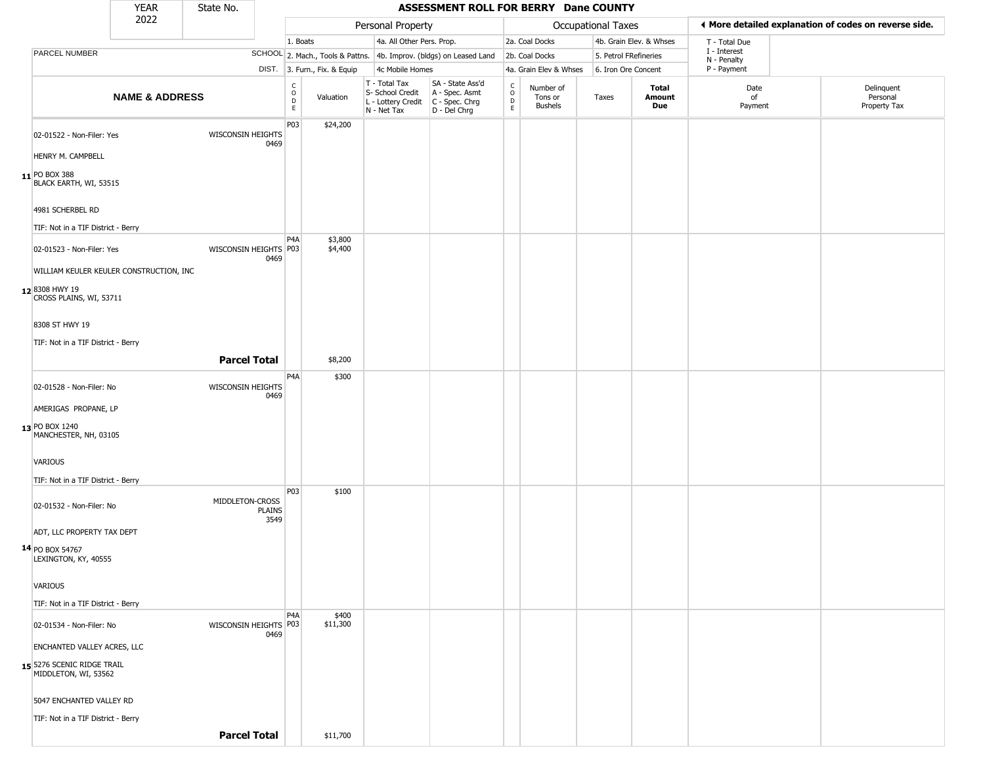|                                                    | <b>YEAR</b>               | State No.                |                                                     |                              |                                                                                         | ASSESSMENT ROLL FOR BERRY Dane COUNTY                               |                          |                                        |                       |                         |                             |                                                       |
|----------------------------------------------------|---------------------------|--------------------------|-----------------------------------------------------|------------------------------|-----------------------------------------------------------------------------------------|---------------------------------------------------------------------|--------------------------|----------------------------------------|-----------------------|-------------------------|-----------------------------|-------------------------------------------------------|
|                                                    | 2022                      |                          |                                                     |                              | Personal Property                                                                       |                                                                     |                          |                                        | Occupational Taxes    |                         |                             | ♦ More detailed explanation of codes on reverse side. |
|                                                    |                           |                          |                                                     | 1. Boats                     | 4a. All Other Pers. Prop.                                                               |                                                                     |                          | 2a. Coal Docks                         |                       | 4b. Grain Elev. & Whses | T - Total Due               |                                                       |
| PARCEL NUMBER                                      |                           |                          |                                                     |                              |                                                                                         | SCHOOL 2. Mach., Tools & Pattns. 4b. Improv. (bldgs) on Leased Land |                          | 2b. Coal Docks                         | 5. Petrol FRefineries |                         | I - Interest<br>N - Penalty |                                                       |
|                                                    |                           |                          |                                                     | DIST. 3. Furn., Fix. & Equip | 4c Mobile Homes                                                                         |                                                                     |                          | 4a. Grain Elev & Whses                 | 6. Iron Ore Concent   |                         | P - Payment                 |                                                       |
|                                                    | <b>NAME &amp; ADDRESS</b> |                          | $\begin{smallmatrix} C \\ O \\ D \end{smallmatrix}$ | Valuation<br>E               | T - Total Tax<br>S- School Credit<br>L - Lottery Credit   C - Spec. Chrg<br>N - Net Tax | SA - State Ass'd<br>A - Spec. Asmt<br>D - Del Chrg                  | $\int_{0}^{c}$<br>D<br>E | Number of<br>Tons or<br><b>Bushels</b> | Taxes                 | Total<br>Amount<br>Due  | Date<br>of<br>Payment       | Delinquent<br>Personal<br>Property Tax                |
| 02-01522 - Non-Filer: Yes<br>HENRY M. CAMPBELL     |                           | WISCONSIN HEIGHTS        | P03<br>0469                                         | \$24,200                     |                                                                                         |                                                                     |                          |                                        |                       |                         |                             |                                                       |
| 11 PO BOX 388<br>BLACK EARTH, WI, 53515            |                           |                          |                                                     |                              |                                                                                         |                                                                     |                          |                                        |                       |                         |                             |                                                       |
| 4981 SCHERBEL RD                                   |                           |                          |                                                     |                              |                                                                                         |                                                                     |                          |                                        |                       |                         |                             |                                                       |
| TIF: Not in a TIF District - Berry                 |                           |                          | P <sub>4</sub> A                                    | \$3,800                      |                                                                                         |                                                                     |                          |                                        |                       |                         |                             |                                                       |
| 02-01523 - Non-Filer: Yes                          |                           | WISCONSIN HEIGHTS P03    | 0469                                                | \$4,400                      |                                                                                         |                                                                     |                          |                                        |                       |                         |                             |                                                       |
| WILLIAM KEULER KEULER CONSTRUCTION, INC            |                           |                          |                                                     |                              |                                                                                         |                                                                     |                          |                                        |                       |                         |                             |                                                       |
| 12 8308 HWY 19<br>CROSS PLAINS, WI, 53711          |                           |                          |                                                     |                              |                                                                                         |                                                                     |                          |                                        |                       |                         |                             |                                                       |
| 8308 ST HWY 19                                     |                           |                          |                                                     |                              |                                                                                         |                                                                     |                          |                                        |                       |                         |                             |                                                       |
| TIF: Not in a TIF District - Berry                 |                           |                          |                                                     |                              |                                                                                         |                                                                     |                          |                                        |                       |                         |                             |                                                       |
|                                                    |                           | <b>Parcel Total</b>      |                                                     | \$8,200                      |                                                                                         |                                                                     |                          |                                        |                       |                         |                             |                                                       |
| 02-01528 - Non-Filer: No                           |                           | <b>WISCONSIN HEIGHTS</b> | P <sub>4</sub> A<br>0469                            | \$300                        |                                                                                         |                                                                     |                          |                                        |                       |                         |                             |                                                       |
| AMERIGAS PROPANE, LP                               |                           |                          |                                                     |                              |                                                                                         |                                                                     |                          |                                        |                       |                         |                             |                                                       |
| 13 PO BOX 1240<br>MANCHESTER, NH, 03105            |                           |                          |                                                     |                              |                                                                                         |                                                                     |                          |                                        |                       |                         |                             |                                                       |
| VARIOUS                                            |                           |                          |                                                     |                              |                                                                                         |                                                                     |                          |                                        |                       |                         |                             |                                                       |
| TIF: Not in a TIF District - Berry                 |                           |                          | P03                                                 |                              |                                                                                         |                                                                     |                          |                                        |                       |                         |                             |                                                       |
| 02-01532 - Non-Filer: No                           |                           | MIDDLETON-CROSS          | <b>PLAINS</b><br>3549                               | \$100                        |                                                                                         |                                                                     |                          |                                        |                       |                         |                             |                                                       |
| ADT, LLC PROPERTY TAX DEPT                         |                           |                          |                                                     |                              |                                                                                         |                                                                     |                          |                                        |                       |                         |                             |                                                       |
| 14 PO BOX 54767<br>LEXINGTON, KY, 40555            |                           |                          |                                                     |                              |                                                                                         |                                                                     |                          |                                        |                       |                         |                             |                                                       |
| VARIOUS                                            |                           |                          |                                                     |                              |                                                                                         |                                                                     |                          |                                        |                       |                         |                             |                                                       |
| TIF: Not in a TIF District - Berry                 |                           |                          |                                                     |                              |                                                                                         |                                                                     |                          |                                        |                       |                         |                             |                                                       |
| 02-01534 - Non-Filer: No                           |                           | WISCONSIN HEIGHTS P03    | P4A<br>0469                                         | \$400<br>\$11,300            |                                                                                         |                                                                     |                          |                                        |                       |                         |                             |                                                       |
| ENCHANTED VALLEY ACRES, LLC                        |                           |                          |                                                     |                              |                                                                                         |                                                                     |                          |                                        |                       |                         |                             |                                                       |
| 15 5276 SCENIC RIDGE TRAIL<br>MIDDLETON, WI, 53562 |                           |                          |                                                     |                              |                                                                                         |                                                                     |                          |                                        |                       |                         |                             |                                                       |
| 5047 ENCHANTED VALLEY RD                           |                           |                          |                                                     |                              |                                                                                         |                                                                     |                          |                                        |                       |                         |                             |                                                       |
| TIF: Not in a TIF District - Berry                 |                           |                          |                                                     |                              |                                                                                         |                                                                     |                          |                                        |                       |                         |                             |                                                       |
|                                                    |                           | <b>Parcel Total</b>      |                                                     | \$11,700                     |                                                                                         |                                                                     |                          |                                        |                       |                         |                             |                                                       |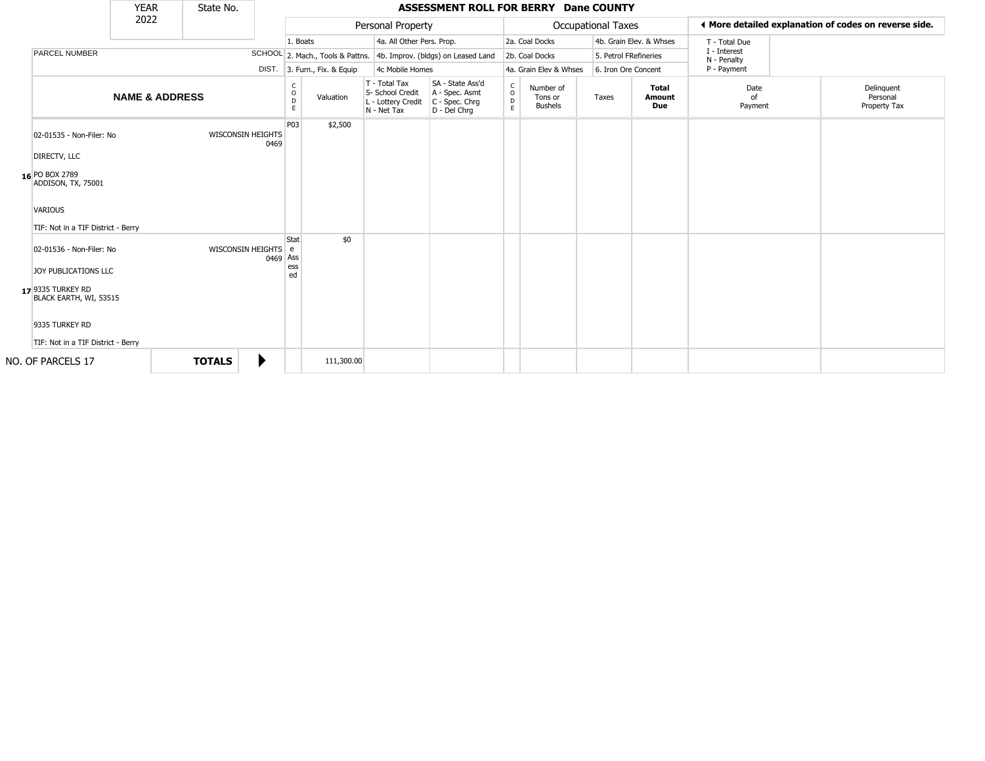|                                                                                                 | <b>YEAR</b>               | State No.     |                                  |                         |                              |                                                                        | ASSESSMENT ROLL FOR BERRY Dane COUNTY                                |                         |                                        |                           |                         |                                            |                                                       |
|-------------------------------------------------------------------------------------------------|---------------------------|---------------|----------------------------------|-------------------------|------------------------------|------------------------------------------------------------------------|----------------------------------------------------------------------|-------------------------|----------------------------------------|---------------------------|-------------------------|--------------------------------------------|-------------------------------------------------------|
|                                                                                                 | 2022                      |               |                                  |                         |                              | Personal Property                                                      |                                                                      |                         |                                        | <b>Occupational Taxes</b> |                         |                                            | ◀ More detailed explanation of codes on reverse side. |
|                                                                                                 |                           |               |                                  | 1. Boats                |                              | 4a. All Other Pers. Prop.                                              |                                                                      |                         | 2a. Coal Docks                         |                           | 4b. Grain Elev. & Whses | T - Total Due                              |                                                       |
| <b>PARCEL NUMBER</b>                                                                            |                           |               |                                  |                         |                              |                                                                        | SCHOOL 2. Mach., Tools & Pattns. 4b. Improv. (bldgs) on Leased Land  |                         | 2b. Coal Docks                         |                           | 5. Petrol FRefineries   | I - Interest<br>N - Penalty<br>P - Payment |                                                       |
|                                                                                                 |                           |               |                                  |                         | DIST. 3. Furn., Fix. & Equip |                                                                        | 4c Mobile Homes                                                      |                         | 4a. Grain Elev & Whses                 |                           | 6. Iron Ore Concent     |                                            |                                                       |
|                                                                                                 | <b>NAME &amp; ADDRESS</b> |               |                                  | C<br>$\circ$<br>D<br>E. | Valuation                    | T - Total Tax<br>S- School Credit<br>L - Lottery Credit<br>N - Net Tax | SA - State Ass'd<br>A - Spec. Asmt<br>C - Spec. Chrg<br>D - Del Chrq | $\frac{c}{0}$<br>D<br>E | Number of<br>Tons or<br><b>Bushels</b> | Taxes                     | Total<br>Amount<br>Due  | Date<br>nf<br>Payment                      | Delinquent<br>Personal<br>Property Tax                |
| 02-01535 - Non-Filer: No<br>DIRECTV, LLC                                                        |                           |               | <b>WISCONSIN HEIGHTS</b><br>0469 | P03                     | \$2,500                      |                                                                        |                                                                      |                         |                                        |                           |                         |                                            |                                                       |
| 16 PO BOX 2789<br>ADDISON, TX, 75001                                                            |                           |               |                                  |                         |                              |                                                                        |                                                                      |                         |                                        |                           |                         |                                            |                                                       |
| <b>VARIOUS</b><br>TIF: Not in a TIF District - Berry                                            |                           |               |                                  |                         |                              |                                                                        |                                                                      |                         |                                        |                           |                         |                                            |                                                       |
| 02-01536 - Non-Filer: No<br>JOY PUBLICATIONS LLC<br>17 9335 TURKEY RD<br>BLACK EARTH, WI, 53515 |                           |               | WISCONSIN HEIGHTS e<br>0469 Ass  | Stat<br>ess<br>ed       | \$0                          |                                                                        |                                                                      |                         |                                        |                           |                         |                                            |                                                       |
| 9335 TURKEY RD<br>TIF: Not in a TIF District - Berry                                            |                           |               |                                  |                         |                              |                                                                        |                                                                      |                         |                                        |                           |                         |                                            |                                                       |
| NO. OF PARCELS 17                                                                               |                           | <b>TOTALS</b> | ▶                                |                         | 111,300.00                   |                                                                        |                                                                      |                         |                                        |                           |                         |                                            |                                                       |